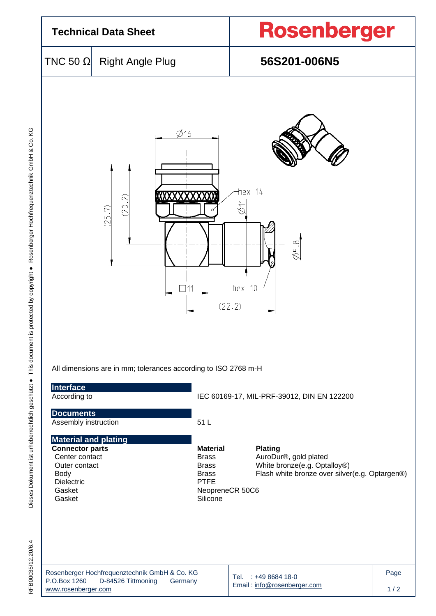

| Rosenberger Hochfrequenztechnik GmbH & Co. KG |                    |         |  |  |  |  |
|-----------------------------------------------|--------------------|---------|--|--|--|--|
| P.O.Box 1260                                  | D-84526 Tittmoning | Germany |  |  |  |  |
| www.rosenberger.com                           |                    |         |  |  |  |  |

Tel. : +49 8684 18-0 Email [: info@rosenberger.com](mailto:info@rosenberger.com)